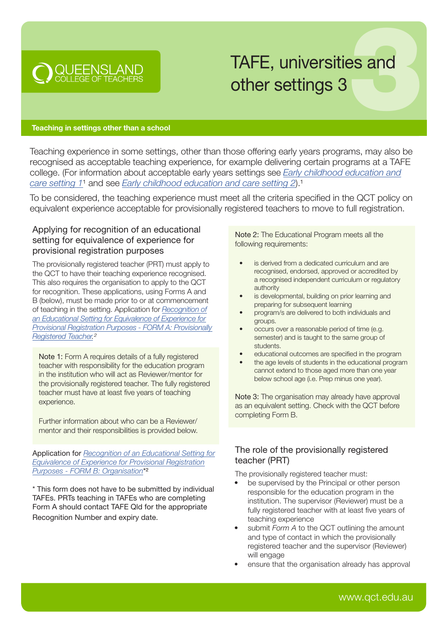

# TAFE, universities and other settings 3

#### Teaching in settings other than a school

Teaching experience in some settings, other than those offering early years programs, may also be recognised as acceptable teaching experience, for example delivering certain programs at a TAFE college. (For information about acceptable early years settings see *Early childhood education and care setting 1*<sup>1</sup> and see *[Early childhood education and care setting 2](https://cdn.qct.edu.au/pdf/TeachingExperience_EarlyChildhoodEdCareSetting1.pdf)*).<sup>1</sup>

To be considered, the teaching experience must meet all the criteria specified in the QCT policy on equivalent experience acceptable for provisionally registered teachers to move to full registration.

## Applying for recognition of an educational setting for equivalence of experience for provisional registration purposes

The provisionally registered teacher (PRT) must apply to the QCT to have their teaching experience recognised. This also requires the organisation to apply to the QCT for recognition. These applications, using Forms A and B (below), must be made prior to or at commencement of teaching in the setting. Application for *Recognition of an Educational Setting for Equivalence of Experience for [Provisional Registration Purposes - FORM A: Provisionally](https://cdn.qct.edu.au/pdf/Equivalence_FormA_ApplicationforRecognitionofanEquivalentEducationalSetting.pdf)  Registered Teacher.2*

Note 1: Form A requires details of a fully registered teacher with responsibility for the education program in the institution who will act as Reviewer/mentor for the provisionally registered teacher. The fully registered teacher must have at least five years of teaching experience.

Further information about who can be a Reviewer/ mentor and their responsibilities is provided below.

Application for *Recognition of an Educational Setting for [Equivalence of Experience for Provisional Registration](https://cdn.qct.edu.au/pdf/Equivalence_FormB_ApplicationforRecognitionofanEquivalentEducationalSetting.pdf)  Purposes - FORM B: Organisation*\*²

\* This form does not have to be submitted by individual TAFEs. PRTs teaching in TAFEs who are completing Form A should contact TAFE Qld for the appropriate Recognition Number and expiry date.

Note 2: The Educational Program meets all the following requirements:

- is derived from a dedicated curriculum and are recognised, endorsed, approved or accredited by a recognised independent curriculum or regulatory authority
- is developmental, building on prior learning and preparing for subsequent learning
- program/s are delivered to both individuals and groups.
- occurs over a reasonable period of time (e.g. semester) and is taught to the same group of students.
- educational outcomes are specified in the program
- the age levels of students in the educational program cannot extend to those aged more than one year below school age (i.e. Prep minus one year).

Note 3: The organisation may already have approval as an equivalent setting. Check with the QCT before completing Form B.

## The role of the provisionally registered teacher (PRT)

The provisionally registered teacher must:

- be supervised by the Principal or other person responsible for the education program in the institution. The supervisor (Reviewer) must be a fully registered teacher with at least five years of teaching experience
- submit *Form A* to the QCT outlining the amount and type of contact in which the provisionally registered teacher and the supervisor (Reviewer) will engage
- ensure that the organisation already has approval